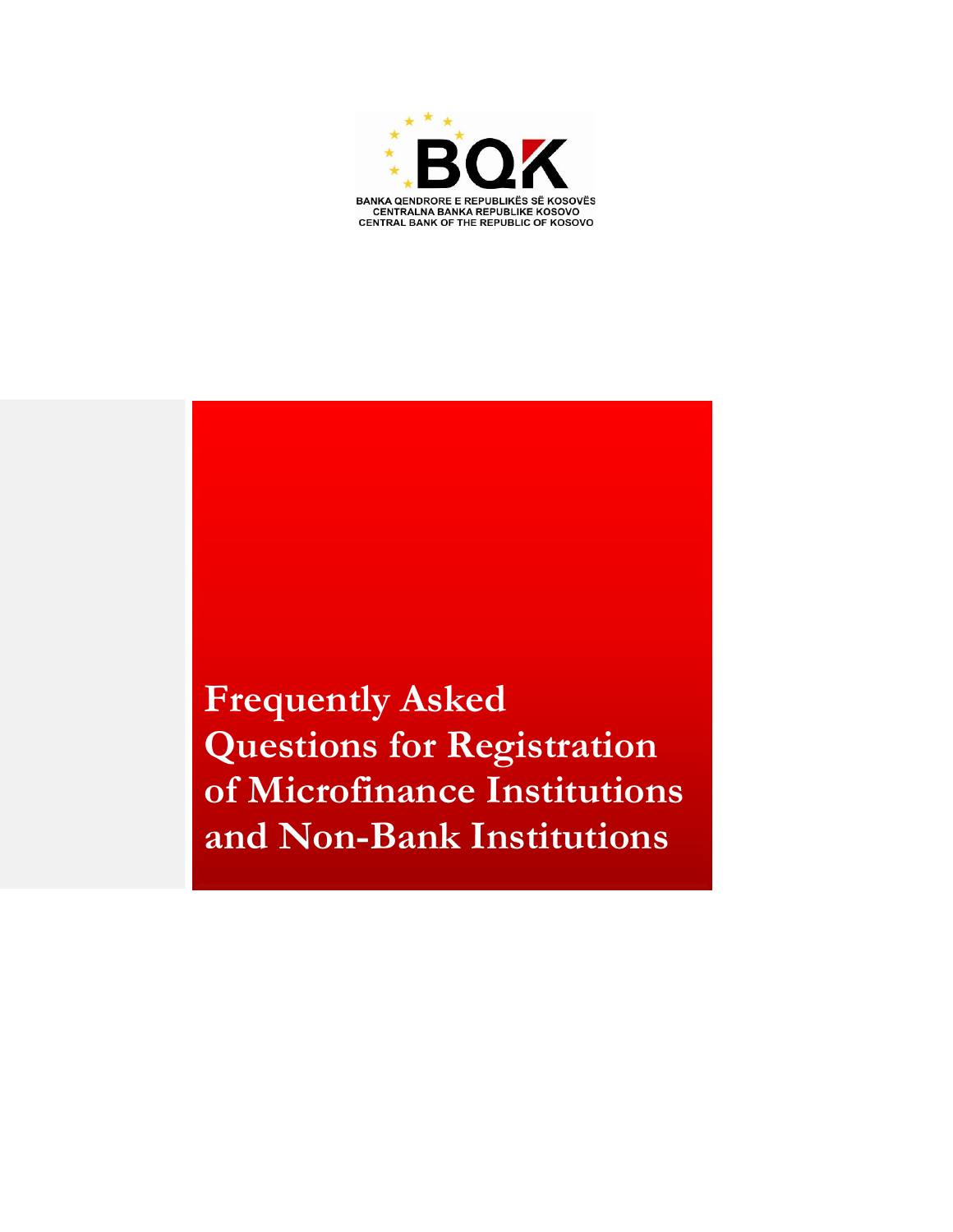

**Frequently Asked Questions for Registration of Microfinance Institutions and Non-Bank Institutions**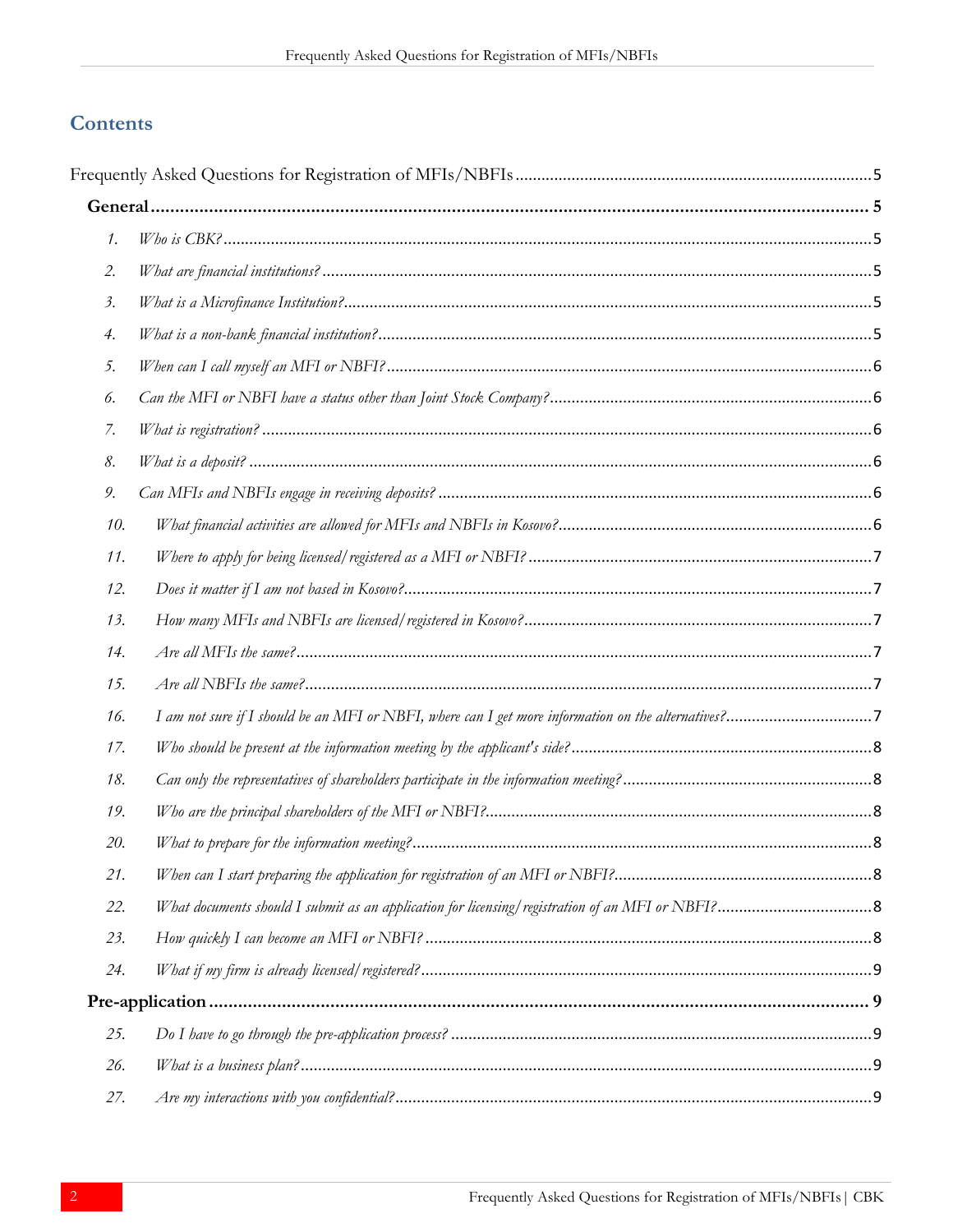# **Contents**

| $\mathcal{I}$ . |  |
|-----------------|--|
| 2.              |  |
| $\beta$ .       |  |
| $\mathcal{A}$ . |  |
| 5.              |  |
| 6.              |  |
| 7.              |  |
| 8.              |  |
| 9.              |  |
| 10.             |  |
| 11.             |  |
| 12.             |  |
| 13.             |  |
| 14.             |  |
| 15.             |  |
| 16.             |  |
| 17.             |  |
| 18.             |  |
| 19.             |  |
| 20.             |  |
| 21.             |  |
| 22.             |  |
| 23.             |  |
| 24.             |  |
|                 |  |
| 25.             |  |
| 26.             |  |
| 27.             |  |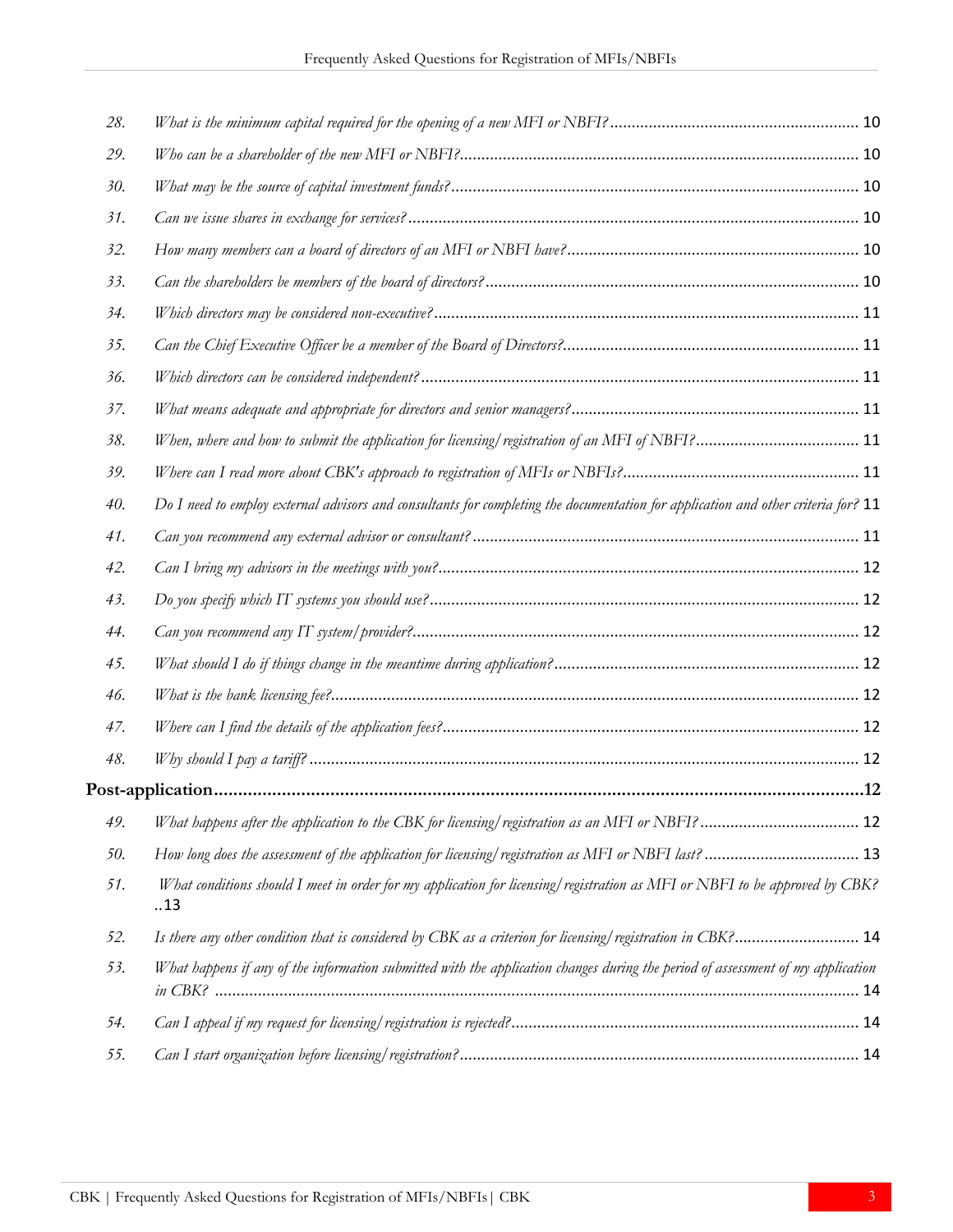| 28. |                                                                                                                                   |  |
|-----|-----------------------------------------------------------------------------------------------------------------------------------|--|
| 29. |                                                                                                                                   |  |
| 30. |                                                                                                                                   |  |
| 31. |                                                                                                                                   |  |
| 32. |                                                                                                                                   |  |
| 33. |                                                                                                                                   |  |
| 34. |                                                                                                                                   |  |
| 35. |                                                                                                                                   |  |
| 36. |                                                                                                                                   |  |
| 37. |                                                                                                                                   |  |
| 38. | When, where and how to submit the application for licensing/registration of an MFI of NBFI? 11                                    |  |
| 39. |                                                                                                                                   |  |
| 40. | Do I need to employ external advisors and consultants for completing the documentation for application and other criteria for? 11 |  |
| 41. |                                                                                                                                   |  |
| 42. |                                                                                                                                   |  |
| 43. |                                                                                                                                   |  |
| 44. |                                                                                                                                   |  |
| 45. |                                                                                                                                   |  |
| 46. |                                                                                                                                   |  |
| 47. |                                                                                                                                   |  |
| 48. |                                                                                                                                   |  |
|     |                                                                                                                                   |  |
| 49. | What happens after the application to the CBK for licensing/registration as an MFI or NBFI?  12                                   |  |
| 50. | How long does the assessment of the application for licensing/registration as MFI or NBFI last?  13                               |  |
| 51. | What conditions should I meet in order for my application for licensing/registration as MFI or NBFI to be approved by CBK?<br>.13 |  |
| 52. | Is there any other condition that is considered by CBK as a criterion for licensing/registration in CBK? 14                       |  |
| 53. | What happens if any of the information submitted with the application changes during the period of assessment of my application   |  |
| 54. |                                                                                                                                   |  |
| 55. |                                                                                                                                   |  |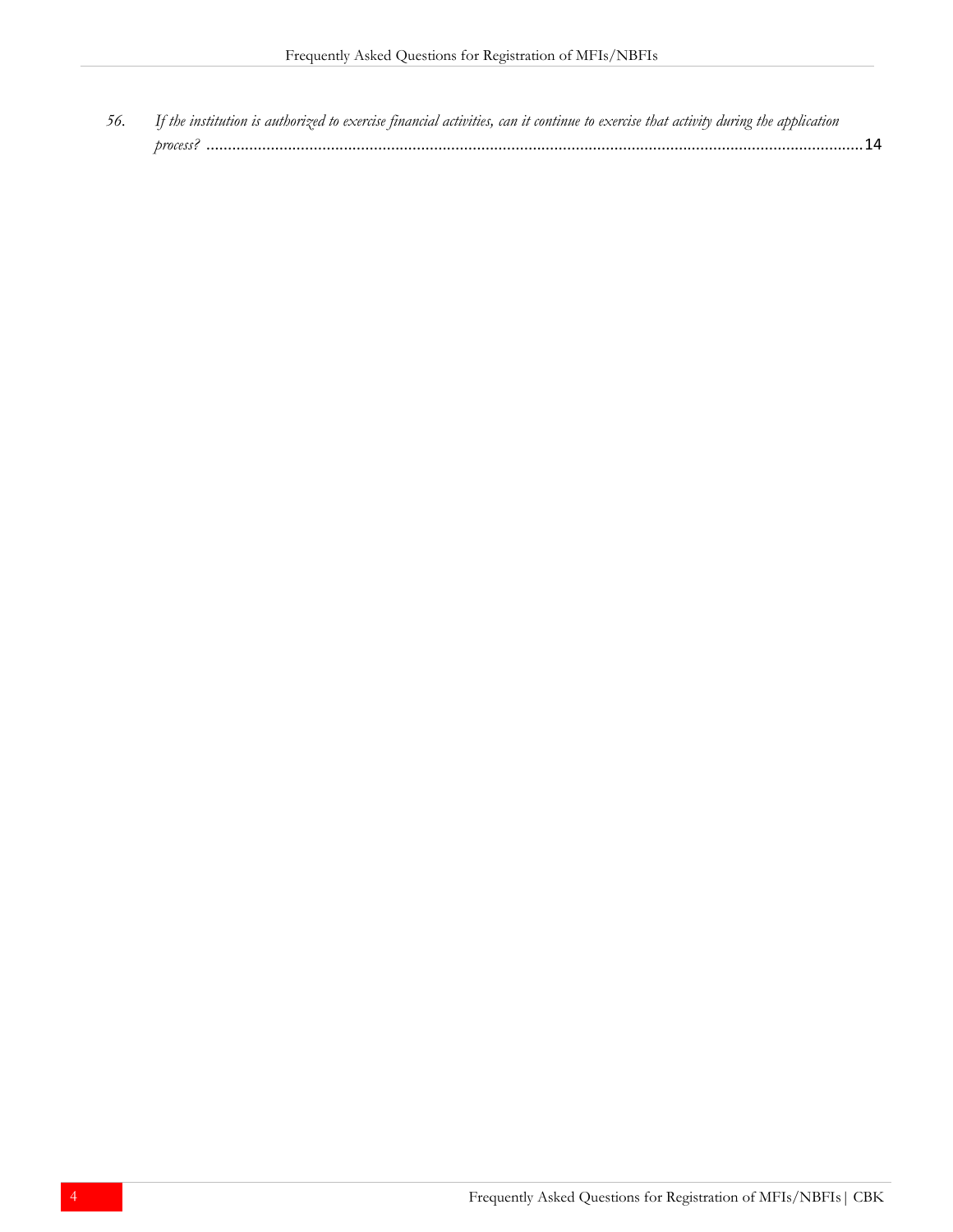| If the institution is authorized to exercise financial activities, can it continue to exercise that activity during the application |  |
|-------------------------------------------------------------------------------------------------------------------------------------|--|
|                                                                                                                                     |  |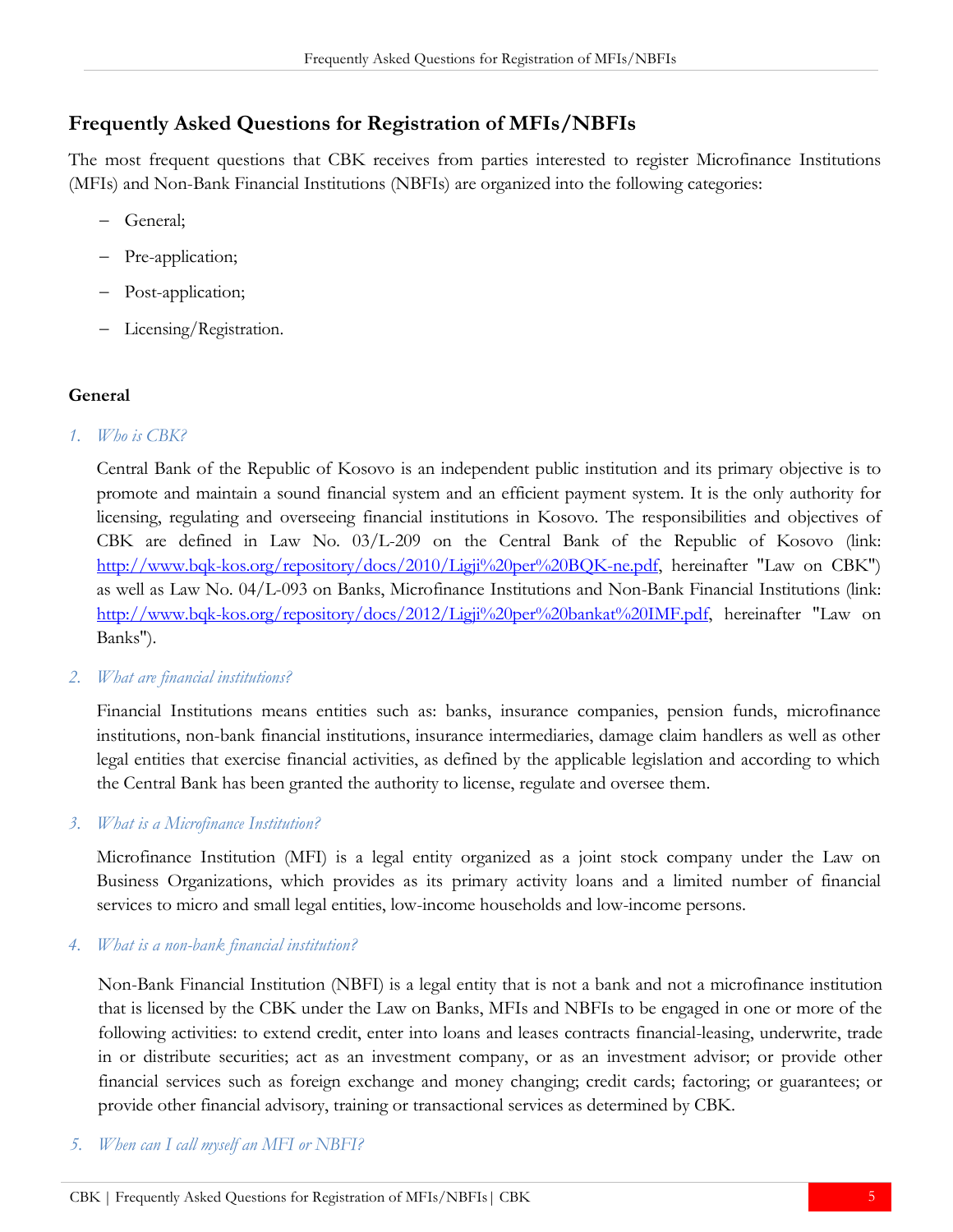## <span id="page-4-0"></span>**Frequently Asked Questions for Registration of MFIs/NBFIs**

The most frequent questions that CBK receives from parties interested to register Microfinance Institutions (MFIs) and Non-Bank Financial Institutions (NBFIs) are organized into the following categories:

- General;
- Pre-application;
- Post-application;
- Licensing/Registration.

### <span id="page-4-1"></span>**General**

### <span id="page-4-2"></span>*1. Who is CBK?*

Central Bank of the Republic of Kosovo is an independent public institution and its primary objective is to promote and maintain a sound financial system and an efficient payment system. It is the only authority for licensing, regulating and overseeing financial institutions in Kosovo. The responsibilities and objectives of CBK are defined in Law No. 03/L-209 on the Central Bank of the Republic of Kosovo (link: [http://www.bqk-kos.org/repository/docs/2010/Ligji%20per%20BQK-ne.pdf,](http://www.bqk-kos.org/repository/docs/2010/Ligji%20per%20BQK-ne.pdf) hereinafter "Law on CBK") as well as Law No. 04/L-093 on Banks, Microfinance Institutions and Non-Bank Financial Institutions (link: [http://www.bqk-kos.org/repository/docs/2012/Ligji%20per%20bankat%20IMF.pdf,](http://www.bqk-kos.org/repository/docs/2012/Ligji%20per%20bankat%20IMF.pdf) hereinafter "Law on Banks").

### <span id="page-4-3"></span>*2. What are financial institutions?*

Financial Institutions means entities such as: banks, insurance companies, pension funds, microfinance institutions, non-bank financial institutions, insurance intermediaries, damage claim handlers as well as other legal entities that exercise financial activities, as defined by the applicable legislation and according to which the Central Bank has been granted the authority to license, regulate and oversee them.

### <span id="page-4-4"></span>*3. What is a Microfinance Institution?*

Microfinance Institution (MFI) is a legal entity organized as a joint stock company under the Law on Business Organizations, which provides as its primary activity loans and a limited number of financial services to micro and small legal entities, low-income households and low-income persons.

### <span id="page-4-5"></span>*4. What is a non-bank financial institution?*

Non-Bank Financial Institution (NBFI) is a legal entity that is not a bank and not a microfinance institution that is licensed by the CBK under the Law on Banks, MFIs and NBFIs to be engaged in one or more of the following activities: to extend credit, enter into loans and leases contracts financial-leasing, underwrite, trade in or distribute securities; act as an investment company, or as an investment advisor; or provide other financial services such as foreign exchange and money changing; credit cards; factoring; or guarantees; or provide other financial advisory, training or transactional services as determined by CBK.

### <span id="page-4-6"></span>*5. When can I call myself an MFI or NBFI?*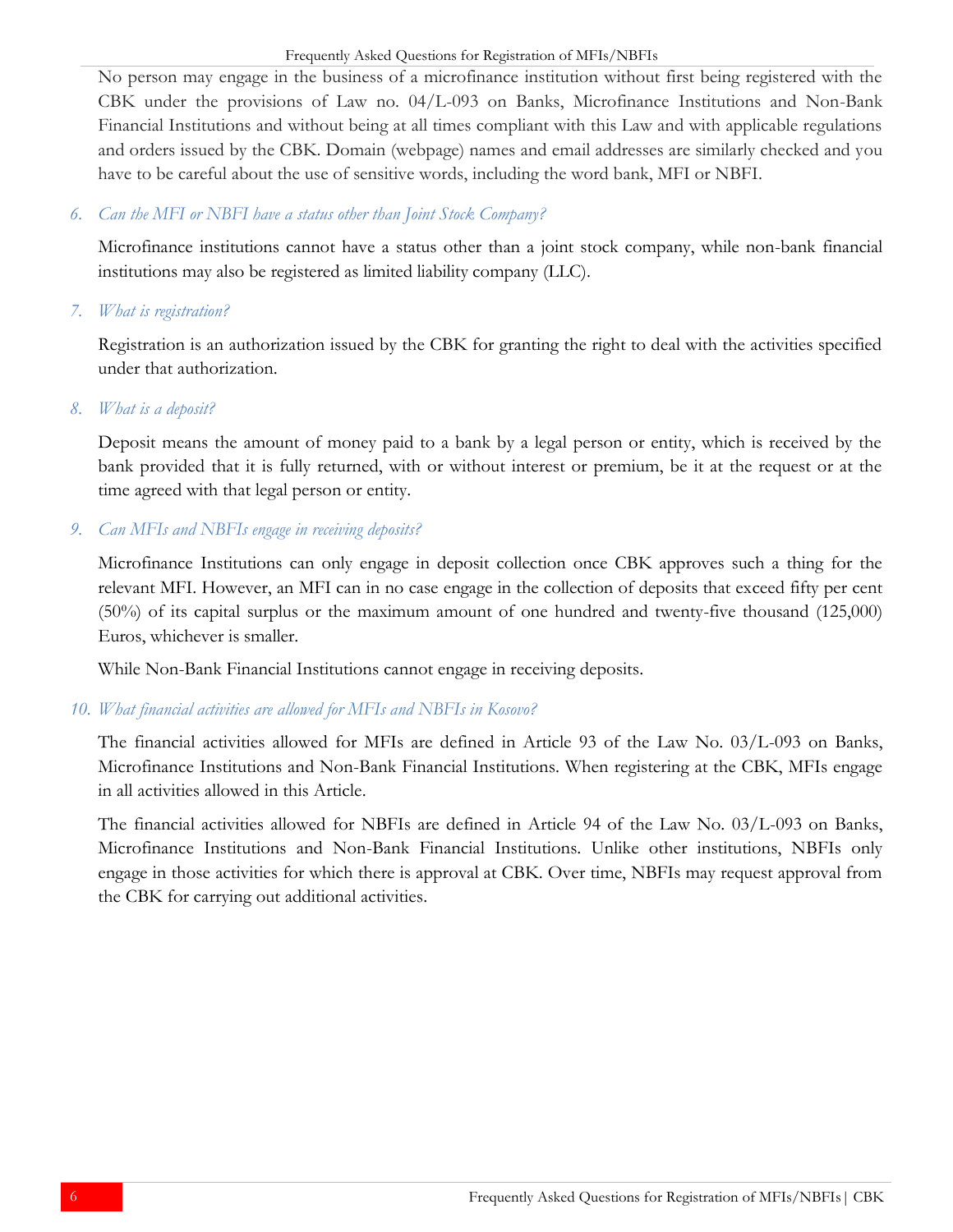No person may engage in the business of a microfinance institution without first being registered with the CBK under the provisions of Law no. 04/L-093 on Banks, Microfinance Institutions and Non-Bank Financial Institutions and without being at all times compliant with this Law and with applicable regulations and orders issued by the CBK. Domain (webpage) names and email addresses are similarly checked and you have to be careful about the use of sensitive words, including the word bank, MFI or NBFI.

### <span id="page-5-0"></span>*6. Can the MFI or NBFI have a status other than Joint Stock Company?*

Microfinance institutions cannot have a status other than a joint stock company, while non-bank financial institutions may also be registered as limited liability company (LLC).

<span id="page-5-1"></span>*7. What is registration?*

Registration is an authorization issued by the CBK for granting the right to deal with the activities specified under that authorization.

### <span id="page-5-2"></span>*8. What is a deposit?*

Deposit means the amount of money paid to a bank by a legal person or entity, which is received by the bank provided that it is fully returned, with or without interest or premium, be it at the request or at the time agreed with that legal person or entity.

### <span id="page-5-3"></span>*9. Can MFIs and NBFIs engage in receiving deposits?*

Microfinance Institutions can only engage in deposit collection once CBK approves such a thing for the relevant MFI. However, an MFI can in no case engage in the collection of deposits that exceed fifty per cent (50%) of its capital surplus or the maximum amount of one hundred and twenty-five thousand (125,000) Euros, whichever is smaller.

While Non-Bank Financial Institutions cannot engage in receiving deposits.

### <span id="page-5-4"></span>*10. What financial activities are allowed for MFIs and NBFIs in Kosovo?*

The financial activities allowed for MFIs are defined in Article 93 of the Law No. 03/L-093 on Banks, Microfinance Institutions and Non-Bank Financial Institutions. When registering at the CBK, MFIs engage in all activities allowed in this Article.

The financial activities allowed for NBFIs are defined in Article 94 of the Law No. 03/L-093 on Banks, Microfinance Institutions and Non-Bank Financial Institutions. Unlike other institutions, NBFIs only engage in those activities for which there is approval at CBK. Over time, NBFIs may request approval from the CBK for carrying out additional activities.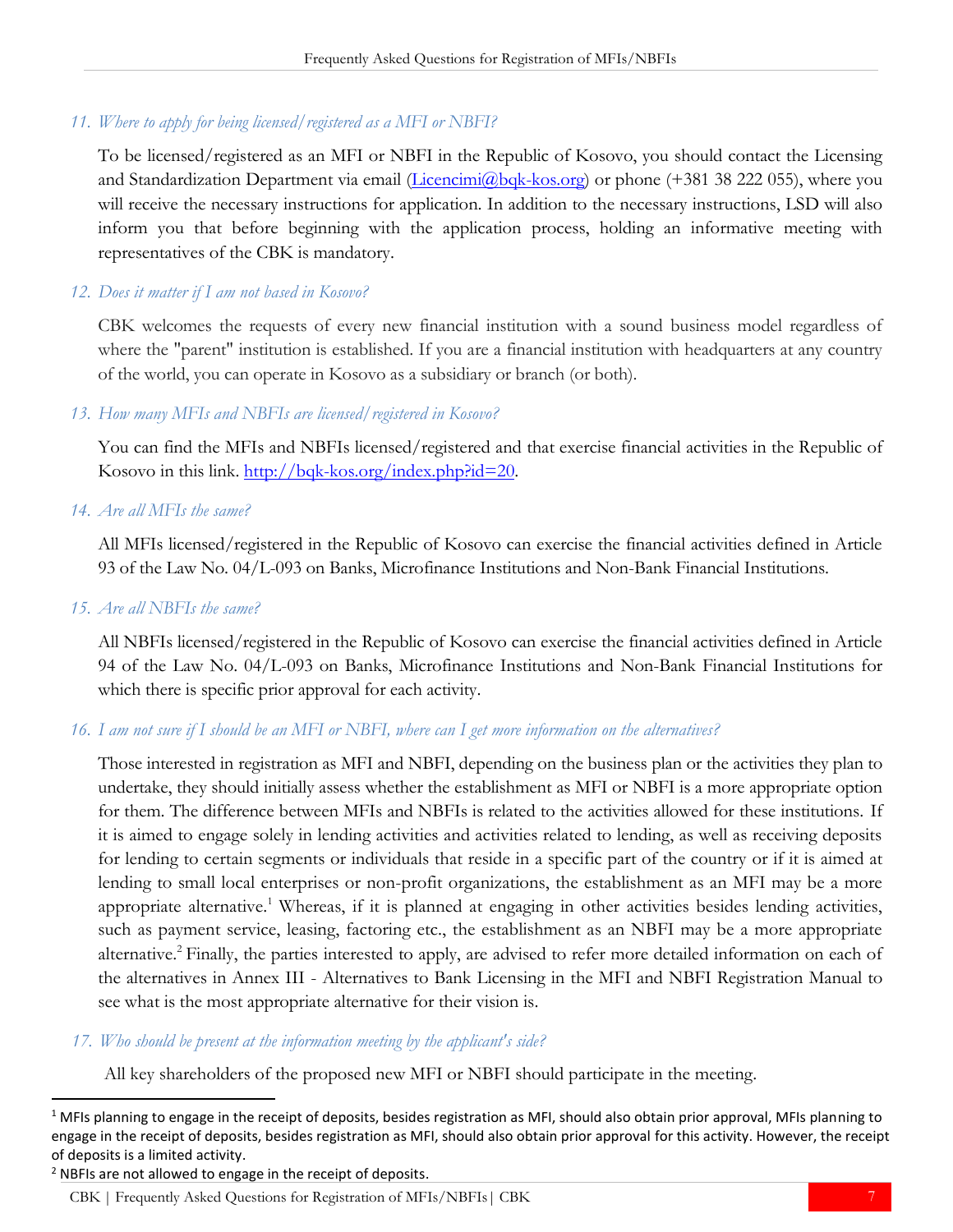### <span id="page-6-0"></span>*11. Where to apply for being licensed/registered as a MFI or NBFI?*

To be licensed/registered as an MFI or NBFI in the Republic of Kosovo, you should contact the Licensing and Standardization Department via email (*Licencimi@bqk-kos.org*) or phone (+381 38 222 055), where you will receive the necessary instructions for application. In addition to the necessary instructions, LSD will also inform you that before beginning with the application process, holding an informative meeting with representatives of the CBK is mandatory.

### <span id="page-6-1"></span>*12. Does it matter if I am not based in Kosovo?*

CBK welcomes the requests of every new financial institution with a sound business model regardless of where the "parent" institution is established. If you are a financial institution with headquarters at any country of the world, you can operate in Kosovo as a subsidiary or branch (or both).

### <span id="page-6-2"></span>*13. How many MFIs and NBFIs are licensed/registered in Kosovo?*

You can find the MFIs and NBFIs licensed/registered and that exercise financial activities in the Republic of Kosovo in this link. [http://bqk-kos.org/index.php?id=20.](http://bqk-kos.org/index.php?id=20)

### <span id="page-6-3"></span>*14. Are all MFIs the same?*

All MFIs licensed/registered in the Republic of Kosovo can exercise the financial activities defined in Article 93 of the Law No. 04/L-093 on Banks, Microfinance Institutions and Non-Bank Financial Institutions.

### <span id="page-6-4"></span>*15. Are all NBFIs the same?*

All NBFIs licensed/registered in the Republic of Kosovo can exercise the financial activities defined in Article 94 of the Law No. 04/L-093 on Banks, Microfinance Institutions and Non-Bank Financial Institutions for which there is specific prior approval for each activity.

### <span id="page-6-5"></span>*16. I am not sure if I should be an MFI or NBFI, where can I get more information on the alternatives?*

Those interested in registration as MFI and NBFI, depending on the business plan or the activities they plan to undertake, they should initially assess whether the establishment as MFI or NBFI is a more appropriate option for them. The difference between MFIs and NBFIs is related to the activities allowed for these institutions. If it is aimed to engage solely in lending activities and activities related to lending, as well as receiving deposits for lending to certain segments or individuals that reside in a specific part of the country or if it is aimed at lending to small local enterprises or non-profit organizations, the establishment as an MFI may be a more appropriate alternative. <sup>1</sup> Whereas, if it is planned at engaging in other activities besides lending activities, such as payment service, leasing, factoring etc., the establishment as an NBFI may be a more appropriate alternative. <sup>2</sup> Finally, the parties interested to apply, are advised to refer more detailed information on each of the alternatives in Annex III - Alternatives to Bank Licensing in the MFI and NBFI Registration Manual to see what is the most appropriate alternative for their vision is.

### <span id="page-6-6"></span>*17. Who should be present at the information meeting by the applicant's side?*

All key shareholders of the proposed new MFI or NBFI should participate in the meeting.

<sup>2</sup> NBFIs are not allowed to engage in the receipt of deposits.

 $\overline{\phantom{a}}$ 

 $1$  MFIs planning to engage in the receipt of deposits, besides registration as MFI, should also obtain prior approval, MFIs planning to engage in the receipt of deposits, besides registration as MFI, should also obtain prior approval for this activity. However, the receipt of deposits is a limited activity.

CBK | Frequently Asked Questions for Registration of MFIs/NBFIs| CBK 7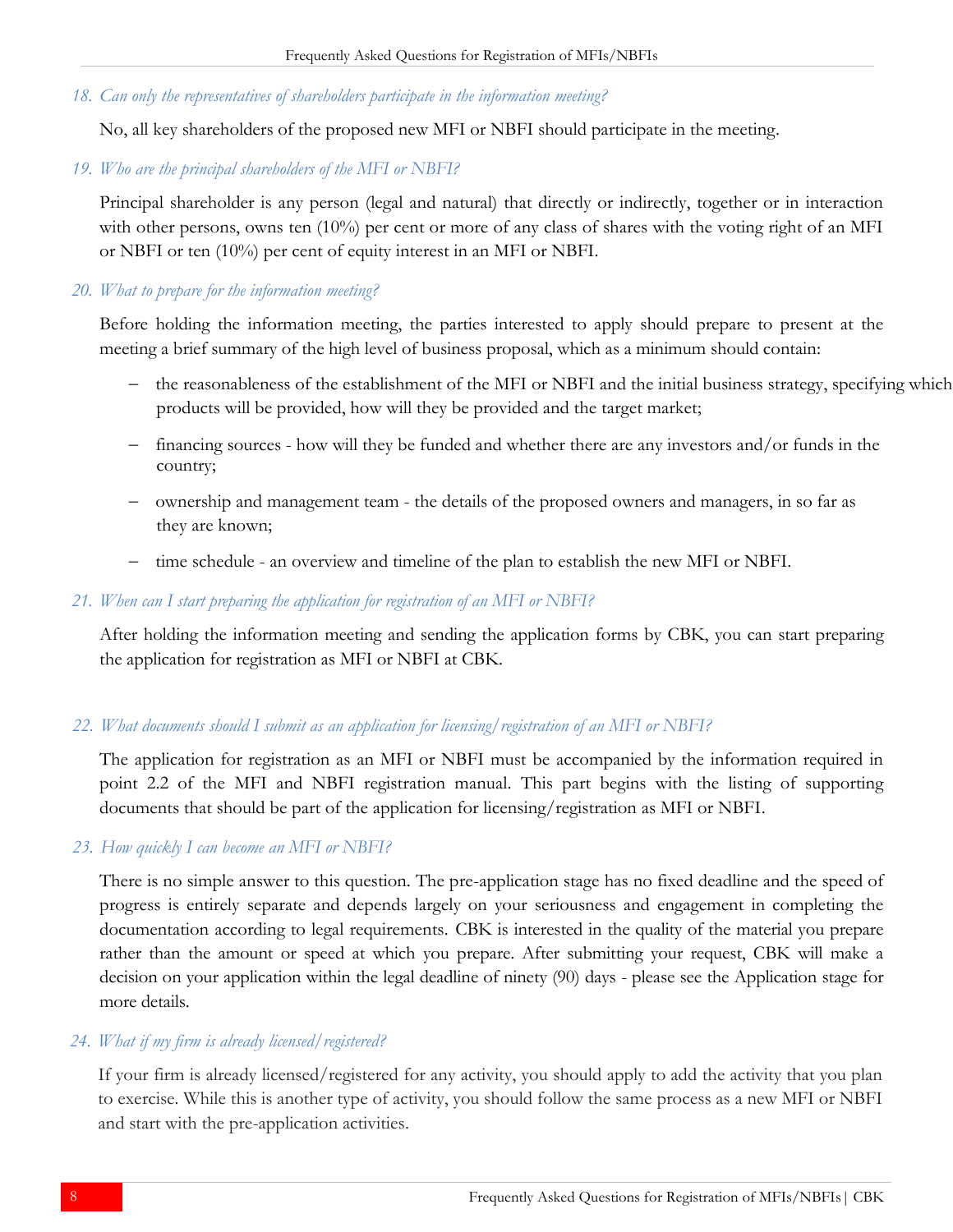<span id="page-7-0"></span>*18. Can only the representatives of shareholders participate in the information meeting?*

No, all key shareholders of the proposed new MFI or NBFI should participate in the meeting.

<span id="page-7-1"></span>*19. Who are the principal shareholders of the MFI or NBFI?*

Principal shareholder is any person (legal and natural) that directly or indirectly, together or in interaction with other persons, owns ten (10%) per cent or more of any class of shares with the voting right of an MFI or NBFI or ten (10%) per cent of equity interest in an MFI or NBFI.

### <span id="page-7-2"></span>*20. What to prepare for the information meeting?*

Before holding the information meeting, the parties interested to apply should prepare to present at the meeting a brief summary of the high level of business proposal, which as a minimum should contain:

- the reasonableness of the establishment of the MFI or NBFI and the initial business strategy, specifying which products will be provided, how will they be provided and the target market;
- financing sources how will they be funded and whether there are any investors and/or funds in the country;
- ownership and management team the details of the proposed owners and managers, in so far as they are known;
- time schedule an overview and timeline of the plan to establish the new MFI or NBFI.

### <span id="page-7-3"></span>*21. When can I start preparing the application for registration of an MFI or NBFI?*

After holding the information meeting and sending the application forms by CBK, you can start preparing the application for registration as MFI or NBFI at CBK.

### <span id="page-7-4"></span>*22. What documents should I submit as an application for licensing/registration of an MFI or NBFI?*

The application for registration as an MFI or NBFI must be accompanied by the information required in point 2.2 of the MFI and NBFI registration manual. This part begins with the listing of supporting documents that should be part of the application for licensing/registration as MFI or NBFI.

### <span id="page-7-5"></span>*23. How quickly I can become an MFI or NBFI?*

There is no simple answer to this question. The pre-application stage has no fixed deadline and the speed of progress is entirely separate and depends largely on your seriousness and engagement in completing the documentation according to legal requirements. CBK is interested in the quality of the material you prepare rather than the amount or speed at which you prepare. After submitting your request, CBK will make a decision on your application within the legal deadline of ninety (90) days - please see the Application stage for more details.

### <span id="page-7-6"></span>*24. What if my firm is already licensed/registered?*

If your firm is already licensed/registered for any activity, you should apply to add the activity that you plan to exercise. While this is another type of activity, you should follow the same process as a new MFI or NBFI and start with the pre-application activities.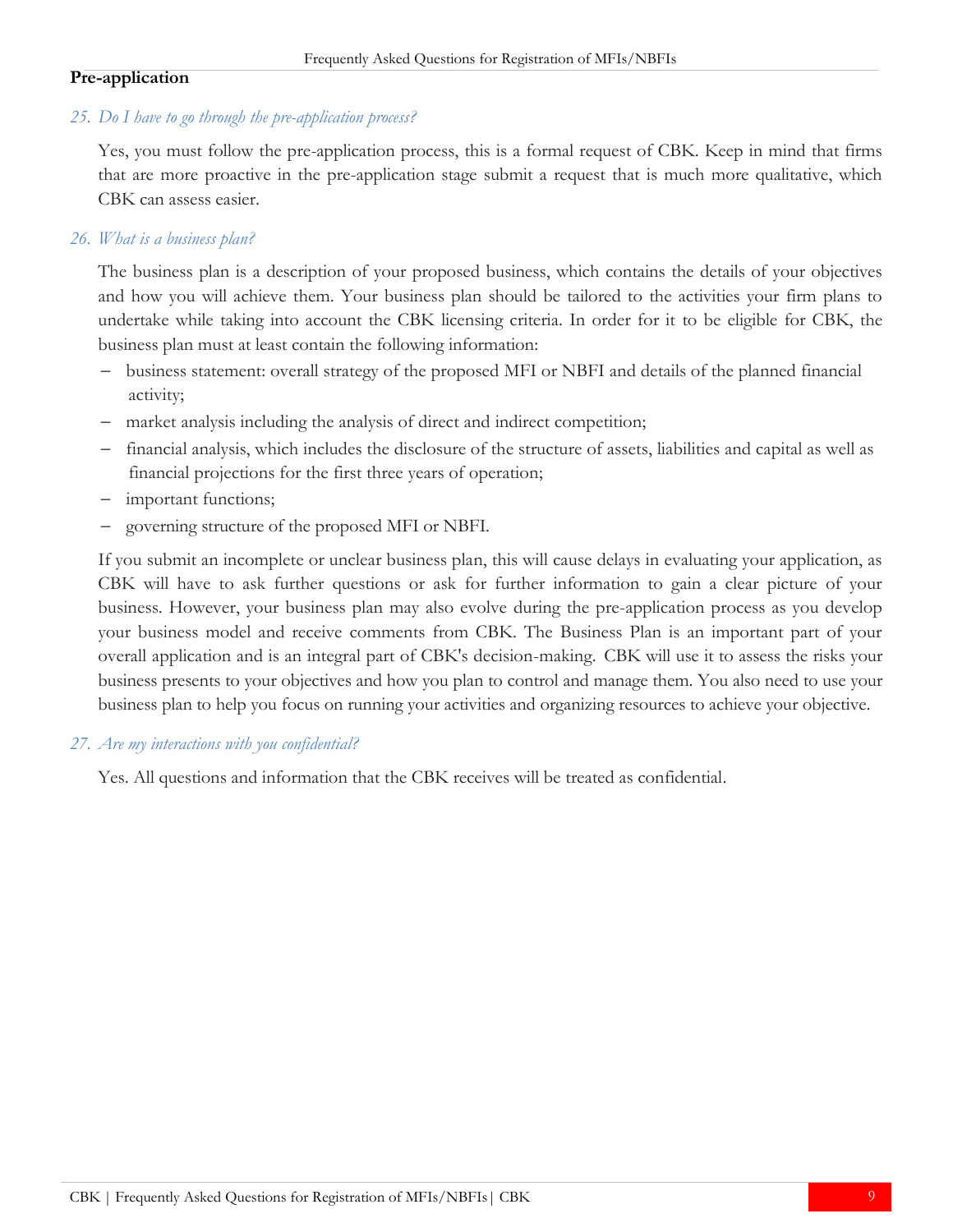#### <span id="page-8-0"></span>**Pre-application**

### <span id="page-8-1"></span>*25. Do I have to go through the pre-application process?*

Yes, you must follow the pre-application process, this is a formal request of CBK. Keep in mind that firms that are more proactive in the pre-application stage submit a request that is much more qualitative, which CBK can assess easier.

#### <span id="page-8-2"></span>*26. What is a business plan?*

The business plan is a description of your proposed business, which contains the details of your objectives and how you will achieve them. Your business plan should be tailored to the activities your firm plans to undertake while taking into account the CBK licensing criteria. In order for it to be eligible for CBK, the business plan must at least contain the following information:

- business statement: overall strategy of the proposed MFI or NBFI and details of the planned financial activity;
- market analysis including the analysis of direct and indirect competition;
- financial analysis, which includes the disclosure of the structure of assets, liabilities and capital as well as financial projections for the first three years of operation;
- important functions;
- governing structure of the proposed MFI or NBFI.

If you submit an incomplete or unclear business plan, this will cause delays in evaluating your application, as CBK will have to ask further questions or ask for further information to gain a clear picture of your business. However, your business plan may also evolve during the pre-application process as you develop your business model and receive comments from CBK. The Business Plan is an important part of your overall application and is an integral part of CBK's decision-making. CBK will use it to assess the risks your business presents to your objectives and how you plan to control and manage them. You also need to use your business plan to help you focus on running your activities and organizing resources to achieve your objective.

#### <span id="page-8-3"></span>*27. Are my interactions with you confidential?*

Yes. All questions and information that the CBK receives will be treated as confidential.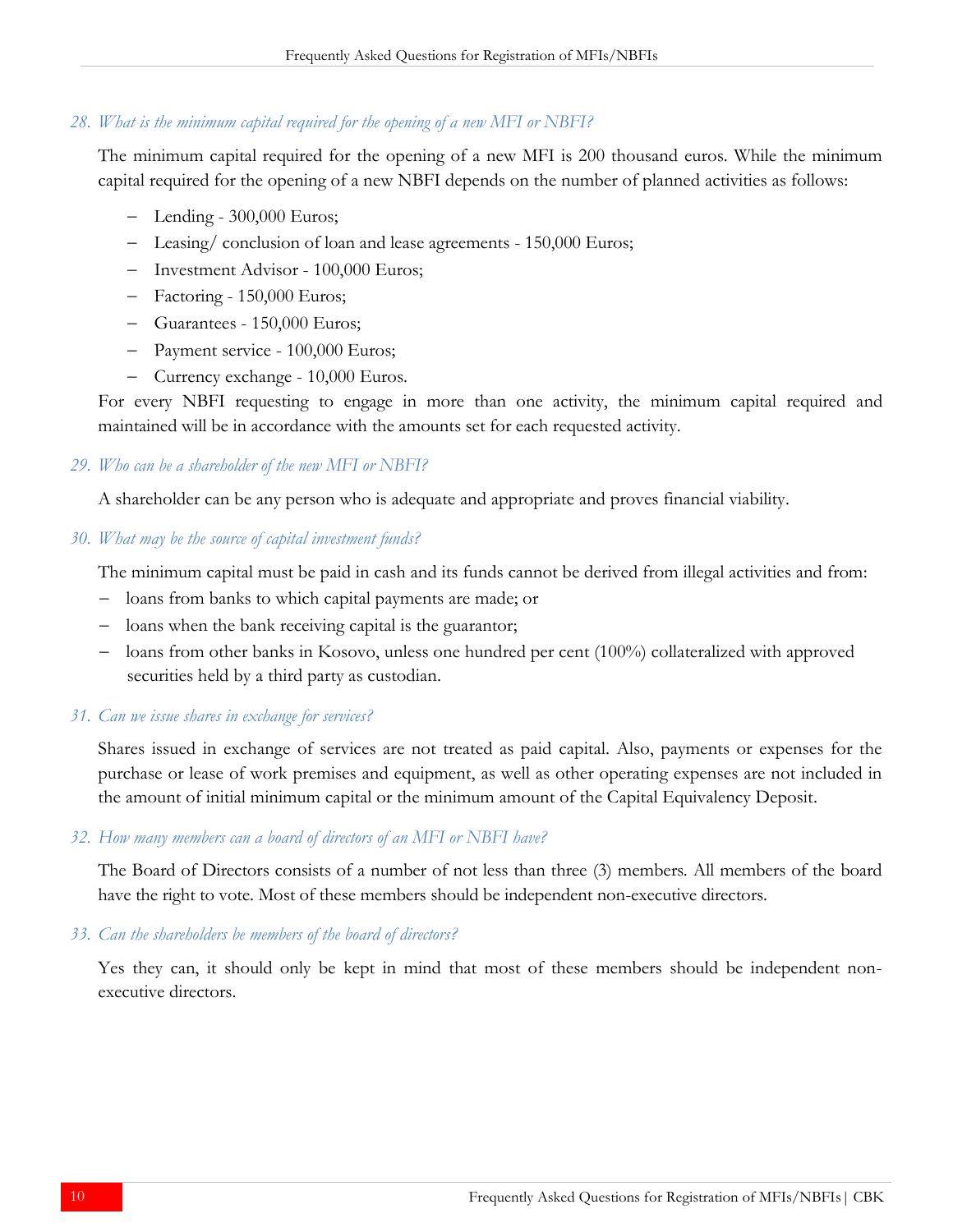### <span id="page-9-0"></span>*28. What is the minimum capital required for the opening of a new MFI or NBFI?*

The minimum capital required for the opening of a new MFI is 200 thousand euros. While the minimum capital required for the opening of a new NBFI depends on the number of planned activities as follows:

- $-$  Lending 300,000 Euros;
- Leasing/ conclusion of loan and lease agreements 150,000 Euros;
- Investment Advisor 100,000 Euros;
- Factoring 150,000 Euros;
- Guarantees 150,000 Euros;
- Payment service 100,000 Euros;
- Currency exchange 10,000 Euros.

For every NBFI requesting to engage in more than one activity, the minimum capital required and maintained will be in accordance with the amounts set for each requested activity.

#### <span id="page-9-1"></span>*29. Who can be a shareholder of the new MFI or NBFI?*

A shareholder can be any person who is adequate and appropriate and proves financial viability.

<span id="page-9-2"></span>*30. What may be the source of capital investment funds?*

The minimum capital must be paid in cash and its funds cannot be derived from illegal activities and from:

- loans from banks to which capital payments are made; or
- loans when the bank receiving capital is the guarantor;
- loans from other banks in Kosovo, unless one hundred per cent (100%) collateralized with approved securities held by a third party as custodian.

#### <span id="page-9-3"></span>*31. Can we issue shares in exchange for services?*

Shares issued in exchange of services are not treated as paid capital. Also, payments or expenses for the purchase or lease of work premises and equipment, as well as other operating expenses are not included in the amount of initial minimum capital or the minimum amount of the Capital Equivalency Deposit.

#### <span id="page-9-4"></span>*32. How many members can a board of directors of an MFI or NBFI have?*

The Board of Directors consists of a number of not less than three (3) members. All members of the board have the right to vote. Most of these members should be independent non-executive directors.

#### <span id="page-9-5"></span>*33. Can the shareholders be members of the board of directors?*

Yes they can, it should only be kept in mind that most of these members should be independent nonexecutive directors.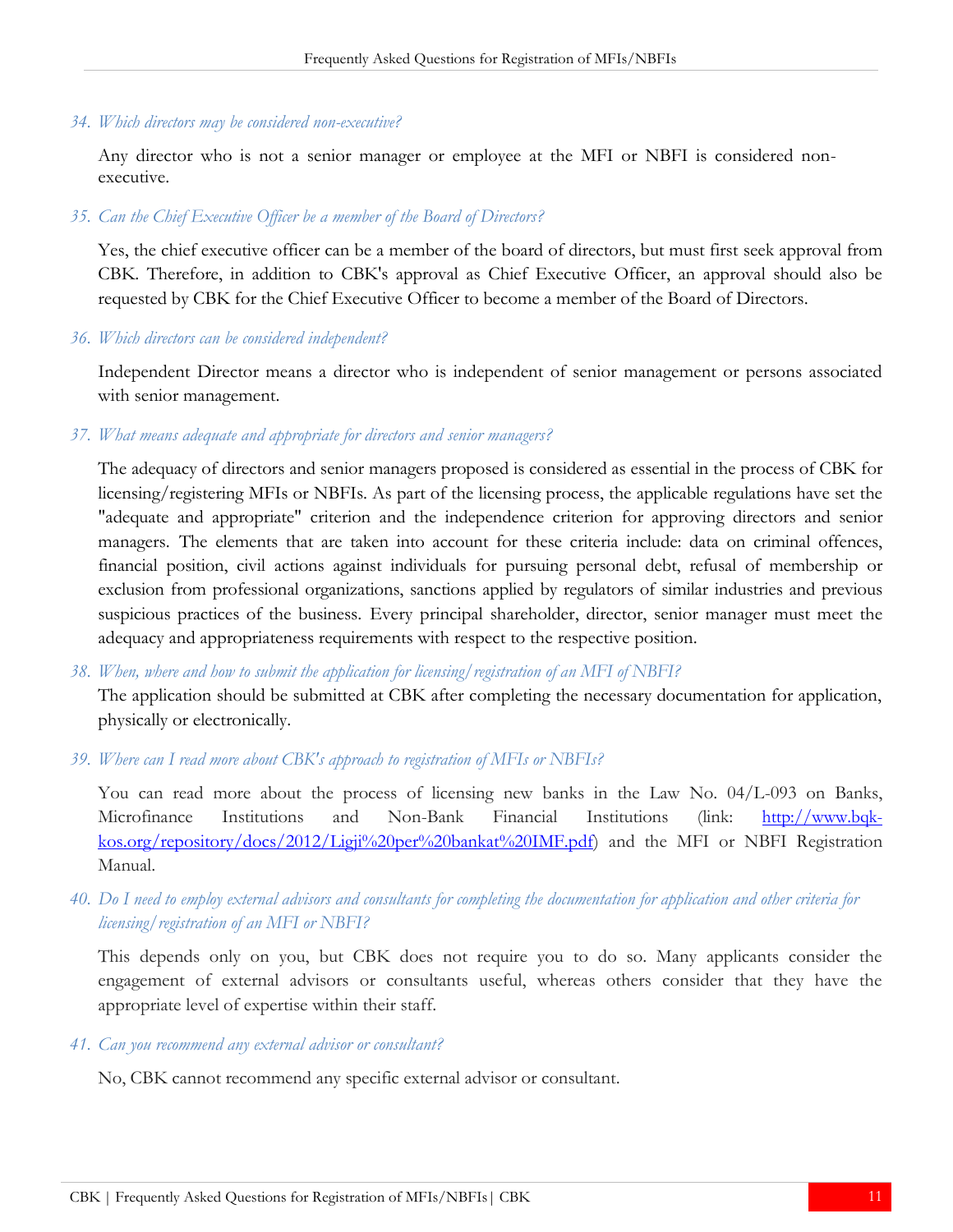### <span id="page-10-0"></span>*34. Which directors may be considered non-executive?*

Any director who is not a senior manager or employee at the MFI or NBFI is considered nonexecutive.

### <span id="page-10-1"></span>*35. Can the Chief Executive Officer be a member of the Board of Directors?*

Yes, the chief executive officer can be a member of the board of directors, but must first seek approval from CBK. Therefore, in addition to CBK's approval as Chief Executive Officer, an approval should also be requested by CBK for the Chief Executive Officer to become a member of the Board of Directors.

### <span id="page-10-2"></span>*36. Which directors can be considered independent?*

Independent Director means a director who is independent of senior management or persons associated with senior management.

### <span id="page-10-3"></span>*37. What means adequate and appropriate for directors and senior managers?*

The adequacy of directors and senior managers proposed is considered as essential in the process of CBK for licensing/registering MFIs or NBFIs. As part of the licensing process, the applicable regulations have set the "adequate and appropriate" criterion and the independence criterion for approving directors and senior managers. The elements that are taken into account for these criteria include: data on criminal offences, financial position, civil actions against individuals for pursuing personal debt, refusal of membership or exclusion from professional organizations, sanctions applied by regulators of similar industries and previous suspicious practices of the business. Every principal shareholder, director, senior manager must meet the adequacy and appropriateness requirements with respect to the respective position.

<span id="page-10-4"></span>*38. When, where and how to submit the application for licensing/registration of an MFI of NBFI?*

The application should be submitted at CBK after completing the necessary documentation for application, physically or electronically.

<span id="page-10-5"></span>*39. Where can I read more about CBK's approach to registration of MFIs or NBFIs?*

You can read more about the process of licensing new banks in the Law No. 04/L-093 on Banks, Microfinance Institutions and Non-Bank Financial Institutions (link: [http://www.bqk](http://www.bqk-kos.org/repository/docs/2012/Ligji%20per%20bankat%20IMF.pdf)[kos.org/repository/docs/2012/Ligji%20per%20bankat%20IMF.pdf\)](http://www.bqk-kos.org/repository/docs/2012/Ligji%20per%20bankat%20IMF.pdf) and the MFI or NBFI Registration Manual.

<span id="page-10-6"></span>*40. Do I need to employ external advisors and consultants for completing the documentation for application and other criteria for licensing/registration of an MFI or NBFI?*

This depends only on you, but CBK does not require you to do so. Many applicants consider the engagement of external advisors or consultants useful, whereas others consider that they have the appropriate level of expertise within their staff.

### <span id="page-10-7"></span>*41. Can you recommend any external advisor or consultant?*

No, CBK cannot recommend any specific external advisor or consultant.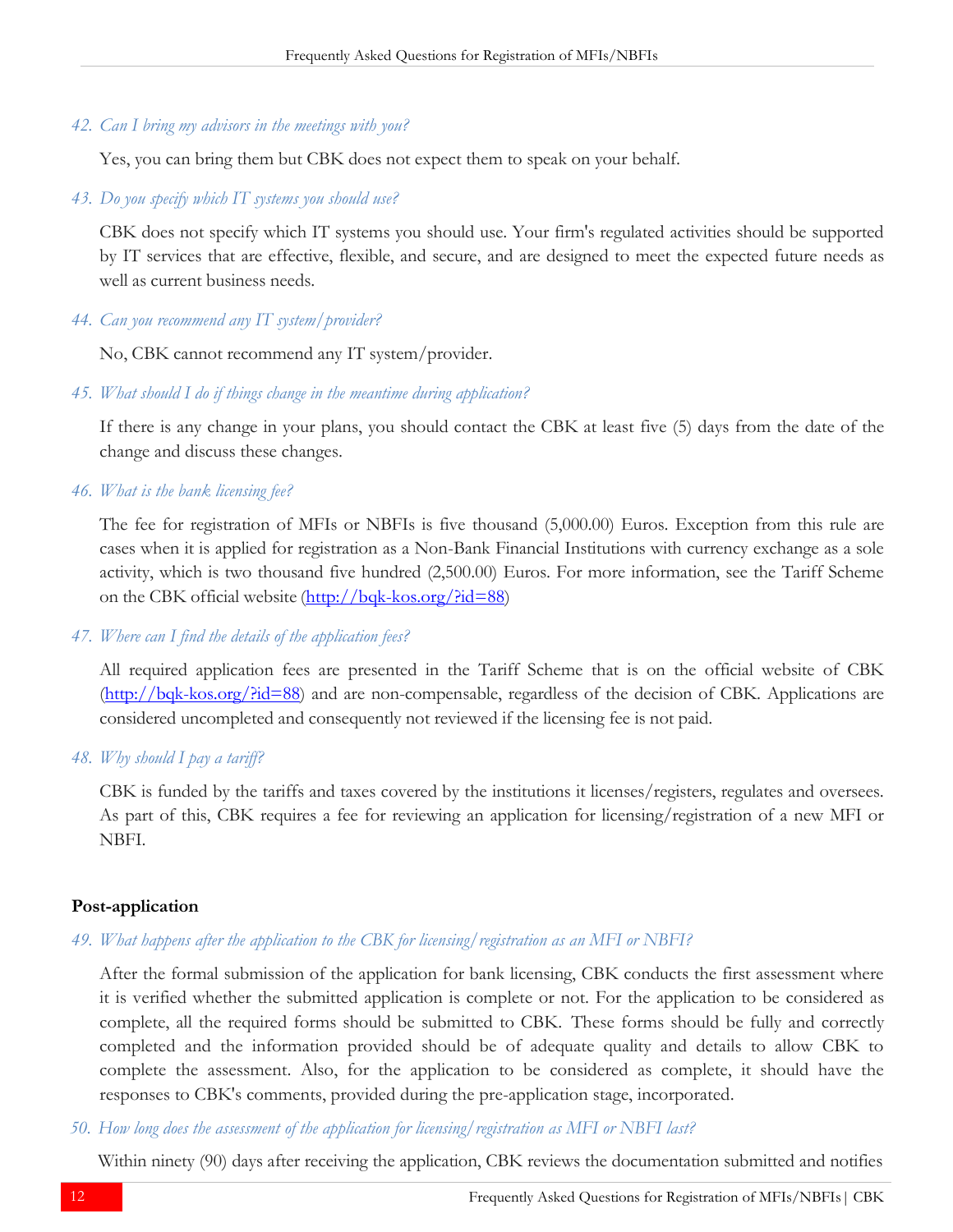<span id="page-11-0"></span>*42. Can I bring my advisors in the meetings with you?*

Yes, you can bring them but CBK does not expect them to speak on your behalf.

<span id="page-11-1"></span>*43. Do you specify which IT systems you should use?*

CBK does not specify which IT systems you should use. Your firm's regulated activities should be supported by IT services that are effective, flexible, and secure, and are designed to meet the expected future needs as well as current business needs.

<span id="page-11-2"></span>*44. Can you recommend any IT system/provider?*

No, CBK cannot recommend any IT system/provider.

<span id="page-11-3"></span>*45. What should I do if things change in the meantime during application?*

If there is any change in your plans, you should contact the CBK at least five (5) days from the date of the change and discuss these changes.

<span id="page-11-4"></span>*46. What is the bank licensing fee?*

The fee for registration of MFIs or NBFIs is five thousand (5,000.00) Euros. Exception from this rule are cases when it is applied for registration as a Non-Bank Financial Institutions with currency exchange as a sole activity, which is two thousand five hundred (2,500.00) Euros. For more information, see the Tariff Scheme on the CBK official website [\(http://bqk-kos.org/?id=88\)](http://bqk-kos.org/?id=88)

<span id="page-11-5"></span>*47. Where can I find the details of the application fees?*

All required application fees are presented in the Tariff Scheme that is on the official website of CBK [\(http://bqk-kos.org/?id=88\)](http://bqk-kos.org/?id=88) and are non-compensable, regardless of the decision of CBK. Applications are considered uncompleted and consequently not reviewed if the licensing fee is not paid.

<span id="page-11-6"></span>*48. Why should I pay a tariff?*

CBK is funded by the tariffs and taxes covered by the institutions it licenses/registers, regulates and oversees. As part of this, CBK requires a fee for reviewing an application for licensing/registration of a new MFI or NBFI.

### <span id="page-11-7"></span>**Post-application**

### <span id="page-11-8"></span>*49. What happens after the application to the CBK for licensing/registration as an MFI or NBFI?*

After the formal submission of the application for bank licensing, CBK conducts the first assessment where it is verified whether the submitted application is complete or not. For the application to be considered as complete, all the required forms should be submitted to CBK. These forms should be fully and correctly completed and the information provided should be of adequate quality and details to allow CBK to complete the assessment. Also, for the application to be considered as complete, it should have the responses to CBK's comments, provided during the pre-application stage, incorporated.

<span id="page-11-9"></span>*50. How long does the assessment of the application for licensing/registration as MFI or NBFI last?*

Within ninety (90) days after receiving the application, CBK reviews the documentation submitted and notifies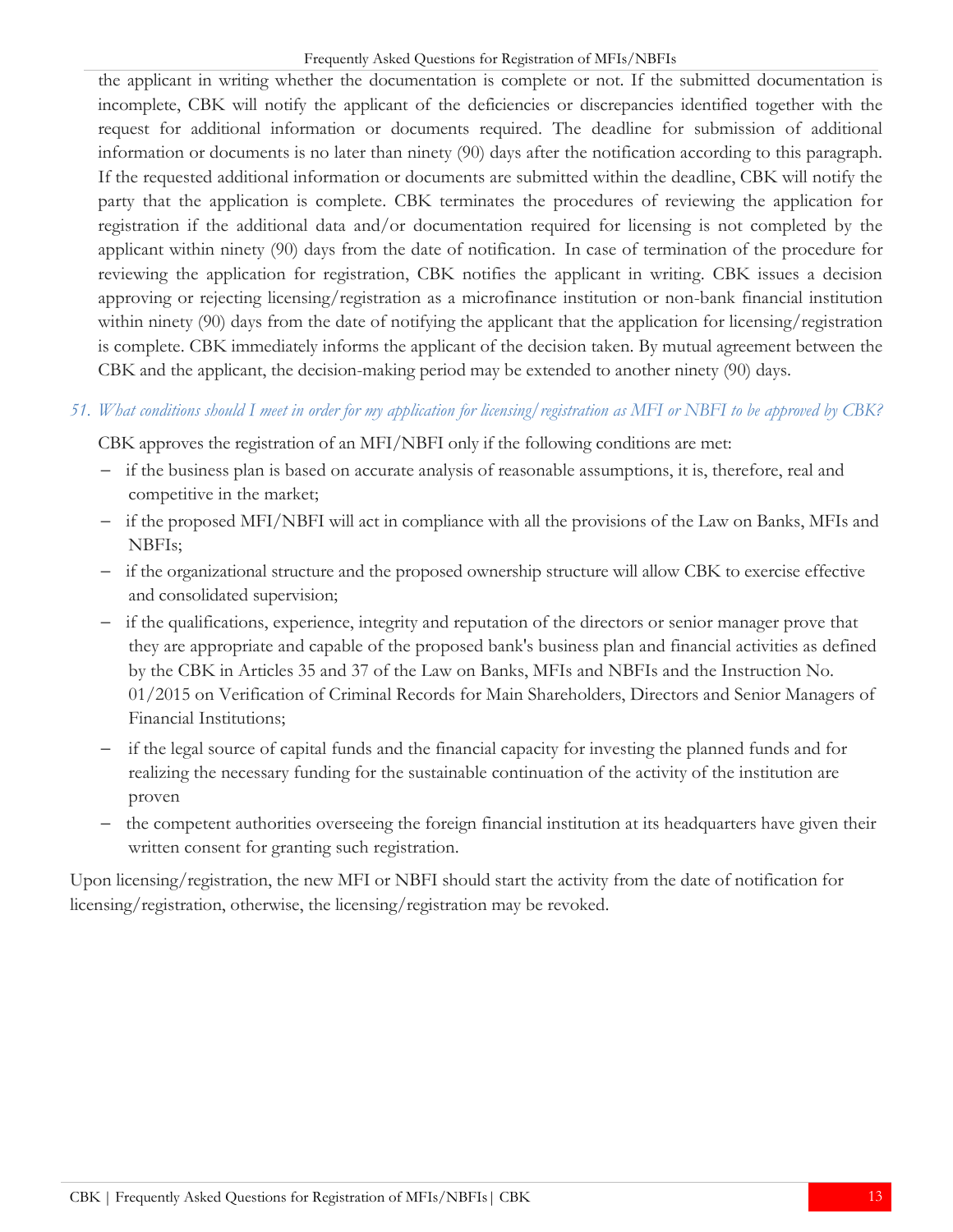the applicant in writing whether the documentation is complete or not. If the submitted documentation is incomplete, CBK will notify the applicant of the deficiencies or discrepancies identified together with the request for additional information or documents required. The deadline for submission of additional information or documents is no later than ninety (90) days after the notification according to this paragraph. If the requested additional information or documents are submitted within the deadline, CBK will notify the party that the application is complete. CBK terminates the procedures of reviewing the application for registration if the additional data and/or documentation required for licensing is not completed by the applicant within ninety (90) days from the date of notification. In case of termination of the procedure for reviewing the application for registration, CBK notifies the applicant in writing. CBK issues a decision approving or rejecting licensing/registration as a microfinance institution or non-bank financial institution within ninety (90) days from the date of notifying the applicant that the application for licensing/registration is complete. CBK immediately informs the applicant of the decision taken. By mutual agreement between the CBK and the applicant, the decision-making period may be extended to another ninety (90) days.

### <span id="page-12-0"></span>*51. What conditions should I meet in order for my application for licensing/registration as MFI or NBFI to be approved by CBK?*

CBK approves the registration of an MFI/NBFI only if the following conditions are met:

- if the business plan is based on accurate analysis of reasonable assumptions, it is, therefore, real and competitive in the market;
- if the proposed MFI/NBFI will act in compliance with all the provisions of the Law on Banks, MFIs and NBFIs;
- if the organizational structure and the proposed ownership structure will allow CBK to exercise effective and consolidated supervision;
- if the qualifications, experience, integrity and reputation of the directors or senior manager prove that they are appropriate and capable of the proposed bank's business plan and financial activities as defined by the CBK in Articles 35 and 37 of the Law on Banks, MFIs and NBFIs and the Instruction No. 01/2015 on Verification of Criminal Records for Main Shareholders, Directors and Senior Managers of Financial Institutions;
- if the legal source of capital funds and the financial capacity for investing the planned funds and for realizing the necessary funding for the sustainable continuation of the activity of the institution are proven
- the competent authorities overseeing the foreign financial institution at its headquarters have given their written consent for granting such registration.

Upon licensing/registration, the new MFI or NBFI should start the activity from the date of notification for licensing/registration, otherwise, the licensing/registration may be revoked.